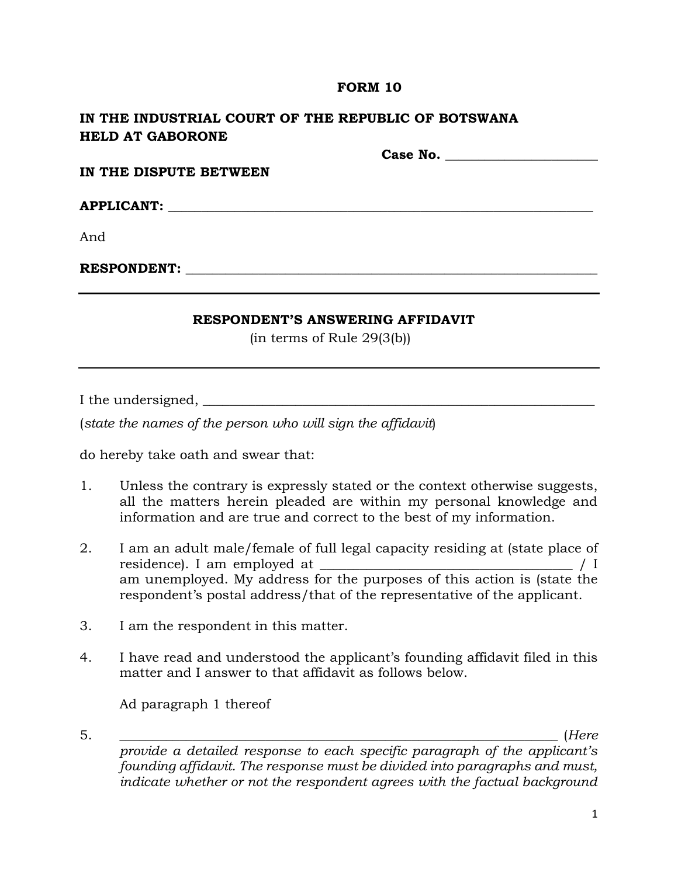### **FORM 10**

# **IN THE INDUSTRIAL COURT OF THE REPUBLIC OF BOTSWANA HELD AT GABORONE**

**Case No. \_\_\_\_\_\_\_\_\_\_\_\_\_\_\_\_\_\_\_\_\_\_\_**

**IN THE DISPUTE BETWEEN**

 ${\bf APPLICATIONT:}$ 

And

**RESPONDENT:**  $\blacksquare$ 

## **RESPONDENT'S ANSWERING AFFIDAVIT**

(in terms of Rule 29(3(b))

I the undersigned, \_\_\_\_\_\_\_\_\_\_\_\_\_\_\_\_\_\_\_\_\_\_\_\_\_\_\_\_\_\_\_\_\_\_\_\_\_\_\_\_\_\_\_\_\_\_\_\_\_\_\_\_\_\_\_\_\_\_\_

(*state the names of the person who will sign the affidavit*)

do hereby take oath and swear that:

- 1. Unless the contrary is expressly stated or the context otherwise suggests, all the matters herein pleaded are within my personal knowledge and information and are true and correct to the best of my information.
- 2. I am an adult male/female of full legal capacity residing at (state place of residence). I am employed at \_\_\_\_\_\_\_\_\_\_\_\_\_\_\_\_\_\_\_\_\_\_\_\_\_\_\_\_\_\_\_\_\_\_\_\_\_\_ / I am unemployed. My address for the purposes of this action is (state the respondent's postal address/that of the representative of the applicant.
- 3. I am the respondent in this matter.
- 4. I have read and understood the applicant's founding affidavit filed in this matter and I answer to that affidavit as follows below.

Ad paragraph 1 thereof

5. \_\_\_\_\_\_\_\_\_\_\_\_\_\_\_\_\_\_\_\_\_\_\_\_\_\_\_\_\_\_\_\_\_\_\_\_\_\_\_\_\_\_\_\_\_\_\_\_\_\_\_\_\_\_\_\_\_\_\_\_\_\_\_\_\_\_ (*Here* 

*provide a detailed response to each specific paragraph of the applicant's founding affidavit. The response must be divided into paragraphs and must, indicate whether or not the respondent agrees with the factual background*